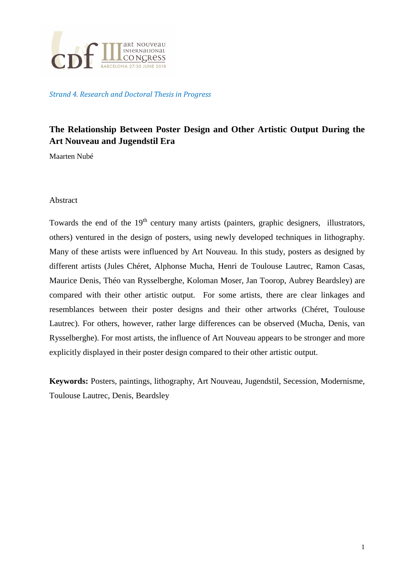

Strand 4. Research and Doctoral Thesis in Progress

# **The Relationship Between Poster Design and Other Artistic Output During the Art Nouveau and Jugendstil Era**

Maarten Nubé

#### Abstract

Towards the end of the  $19<sup>th</sup>$  century many artists (painters, graphic designers, illustrators, others) ventured in the design of posters, using newly developed techniques in lithography. Many of these artists were influenced by Art Nouveau. In this study, posters as designed by different artists (Jules Chéret, Alphonse Mucha, Henri de Toulouse Lautrec, Ramon Casas, Maurice Denis, Théo van Rysselberghe, Koloman Moser, Jan Toorop, Aubrey Beardsley) are compared with their other artistic output. For some artists, there are clear linkages and resemblances between their poster designs and their other artworks (Chéret, Toulouse Lautrec). For others, however, rather large differences can be observed (Mucha, Denis, van Rysselberghe). For most artists, the influence of Art Nouveau appears to be stronger and more explicitly displayed in their poster design compared to their other artistic output.

**Keywords:** Posters, paintings, lithography, Art Nouveau, Jugendstil, Secession, Modernisme, Toulouse Lautrec, Denis, Beardsley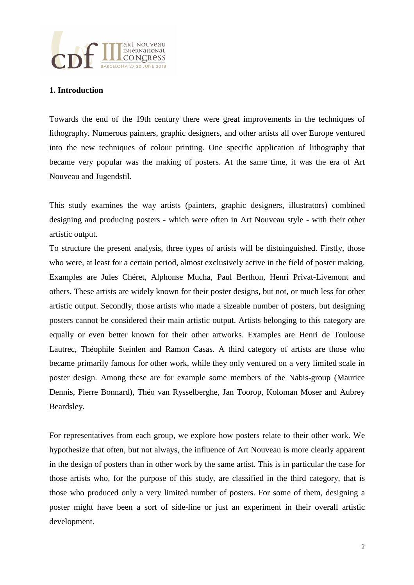

## **1. Introduction**

Towards the end of the 19th century there were great improvements in the techniques of lithography. Numerous painters, graphic designers, and other artists all over Europe ventured into the new techniques of colour printing. One specific application of lithography that became very popular was the making of posters. At the same time, it was the era of Art Nouveau and Jugendstil.

This study examines the way artists (painters, graphic designers, illustrators) combined designing and producing posters - which were often in Art Nouveau style - with their other artistic output.

To structure the present analysis, three types of artists will be distuinguished. Firstly, those who were, at least for a certain period, almost exclusively active in the field of poster making. Examples are Jules Chéret, Alphonse Mucha, Paul Berthon, Henri Privat-Livemont and others. These artists are widely known for their poster designs, but not, or much less for other artistic output. Secondly, those artists who made a sizeable number of posters, but designing posters cannot be considered their main artistic output. Artists belonging to this category are equally or even better known for their other artworks. Examples are Henri de Toulouse Lautrec, Théophile Steinlen and Ramon Casas. A third category of artists are those who became primarily famous for other work, while they only ventured on a very limited scale in poster design. Among these are for example some members of the Nabis-group (Maurice Dennis, Pierre Bonnard), Théo van Rysselberghe, Jan Toorop, Koloman Moser and Aubrey Beardsley.

For representatives from each group, we explore how posters relate to their other work. We hypothesize that often, but not always, the influence of Art Nouveau is more clearly apparent in the design of posters than in other work by the same artist. This is in particular the case for those artists who, for the purpose of this study, are classified in the third category, that is those who produced only a very limited number of posters. For some of them, designing a poster might have been a sort of side-line or just an experiment in their overall artistic development.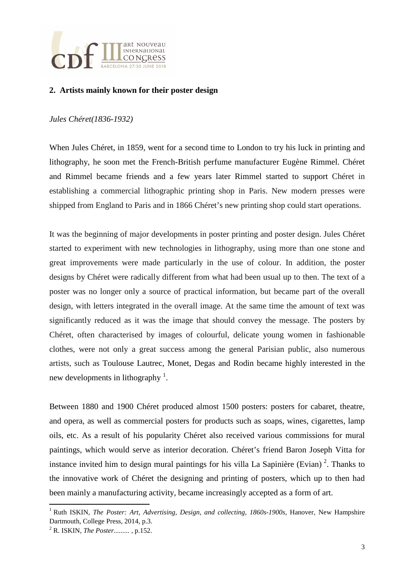

# **2. Artists mainly known for their poster design**

#### *Jules Chéret(1836-1932)*

When Jules Chéret, in 1859, went for a second time to London to try his luck in printing and lithography, he soon met the French-British perfume manufacturer Eugène Rimmel. Chéret and Rimmel became friends and a few years later Rimmel started to support Chéret in establishing a commercial lithographic printing shop in Paris. New modern presses were shipped from England to Paris and in 1866 Chéret's new printing shop could start operations.

It was the beginning of major developments in poster printing and poster design. Jules Chéret started to experiment with new technologies in lithography, using more than one stone and great improvements were made particularly in the use of colour. In addition, the poster designs by Chéret were radically different from what had been usual up to then. The text of a poster was no longer only a source of practical information, but became part of the overall design, with letters integrated in the overall image. At the same time the amount of text was significantly reduced as it was the image that should convey the message. The posters by Chéret, often characterised by images of colourful, delicate young women in fashionable clothes, were not only a great success among the general Parisian public, also numerous artists, such as Toulouse Lautrec, Monet, Degas and Rodin became highly interested in the new developments in lithography<sup>1</sup>.

Between 1880 and 1900 Chéret produced almost 1500 posters: posters for cabaret, theatre, and opera, as well as commercial posters for products such as soaps, wines, cigarettes, lamp oils, etc. As a result of his popularity Chéret also received various commissions for mural paintings, which would serve as interior decoration. Chéret's friend Baron Joseph Vitta for instance invited him to design mural paintings for his villa La Sapinière (Evian)<sup>2</sup>. Thanks to the innovative work of Chéret the designing and printing of posters, which up to then had been mainly a manufacturing activity, became increasingly accepted as a form of art.

l

<sup>&</sup>lt;sup>1</sup> Ruth ISKIN, *The Poster: Art, Advertising, Design, and collecting, 1860s-1900s, Hanover, New Hampshire* Dartmouth, College Press, 2014, p.3.

<sup>2</sup> R. ISKIN, *The Poster......... ,* p.152.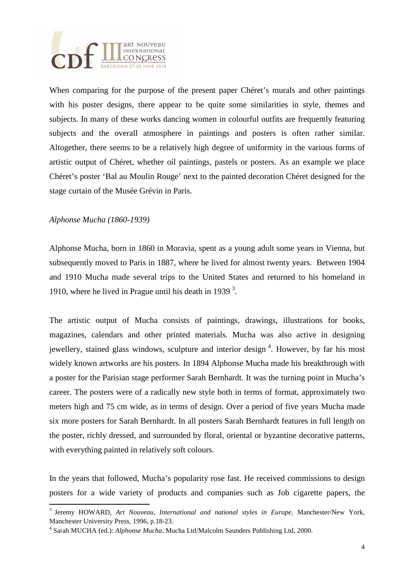

When comparing for the purpose of the present paper Chéret's murals and other paintings with his poster designs, there appear to be quite some similarities in style, themes and subjects. In many of these works dancing women in colourful outfits are frequently featuring subjects and the overall atmosphere in paintings and posters is often rather similar. Altogether, there seems to be a relatively high degree of uniformity in the various forms of artistic output of Chéret, whether oil paintings, pastels or posters. As an example we place Chéret's poster 'Bal au Moulin Rouge' next to the painted decoration Chéret designed for the stage curtain of the Musée Grévin in Paris.

### *Alphonse Mucha (1860-1939)*

l

Alphonse Mucha, born in 1860 in Moravia, spent as a young adult some years in Vienna, but subsequently moved to Paris in 1887, where he lived for almost twenty years. Between 1904 and 1910 Mucha made several trips to the United States and returned to his homeland in 1910, where he lived in Prague until his death in 1939 $^3$ .

The artistic output of Mucha consists of paintings, drawings, illustrations for books, magazines, calendars and other printed materials. Mucha was also active in designing jewellery, stained glass windows, sculpture and interior design<sup>4</sup>. However, by far his most widely known artworks are his posters. In 1894 Alphonse Mucha made his breakthrough with a poster for the Parisian stage performer Sarah Bernhardt. It was the turning point in Mucha's career. The posters were of a radically new style both in terms of format, approximately two meters high and 75 cm wide, as in terms of design. Over a period of five years Mucha made six more posters for Sarah Bernhardt. In all posters Sarah Bernhardt features in full length on the poster, richly dressed, and surrounded by floral, oriental or byzantine decorative patterns, with everything painted in relatively soft colours.

In the years that followed, Mucha's popularity rose fast. He received commissions to design posters for a wide variety of products and companies such as Job cigarette papers, the

<sup>&</sup>lt;sup>3</sup> Jeremy HOWARD, Art Nouveau, International and national styles in Europe, Manchester/New York, Manchester University Press, 1996, p.18-23.

<sup>4</sup> Sarah MUCHA (ed.): *Alphonse Mucha,* Mucha Ltd/Malcolm Saunders Publishing Ltd, 2000.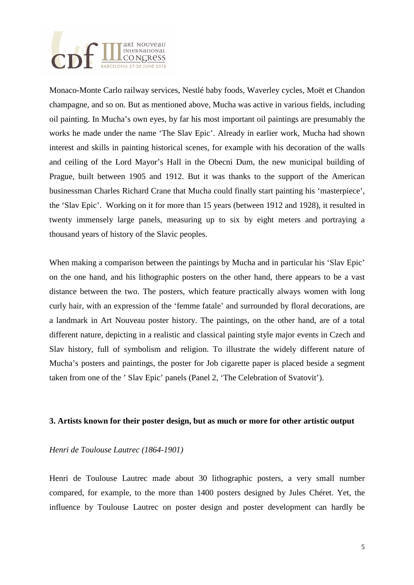

Monaco-Monte Carlo railway services, Nestlé baby foods, Waverley cycles, Moët et Chandon champagne, and so on. But as mentioned above, Mucha was active in various fields, including oil painting. In Mucha's own eyes, by far his most important oil paintings are presumably the works he made under the name 'The Slav Epic'. Already in earlier work, Mucha had shown interest and skills in painting historical scenes, for example with his decoration of the walls and ceiling of the Lord Mayor's Hall in the Obecni Dum, the new municipal building of Prague, built between 1905 and 1912. But it was thanks to the support of the American businessman Charles Richard Crane that Mucha could finally start painting his 'masterpiece', the 'Slav Epic'. Working on it for more than 15 years (between 1912 and 1928), it resulted in twenty immensely large panels, measuring up to six by eight meters and portraying a thousand years of history of the Slavic peoples.

When making a comparison between the paintings by Mucha and in particular his 'Slav Epic' on the one hand, and his lithographic posters on the other hand, there appears to be a vast distance between the two. The posters, which feature practically always women with long curly hair, with an expression of the 'femme fatale' and surrounded by floral decorations, are a landmark in Art Nouveau poster history. The paintings, on the other hand, are of a total different nature, depicting in a realistic and classical painting style major events in Czech and Slav history, full of symbolism and religion. To illustrate the widely different nature of Mucha's posters and paintings, the poster for Job cigarette paper is placed beside a segment taken from one of the ' Slav Epic' panels (Panel 2, 'The Celebration of Svatovit').

#### **3. Artists known for their poster design, but as much or more for other artistic output**

#### *Henri de Toulouse Lautrec (1864-1901)*

Henri de Toulouse Lautrec made about 30 lithographic posters, a very small number compared, for example, to the more than 1400 posters designed by Jules Chéret. Yet, the influence by Toulouse Lautrec on poster design and poster development can hardly be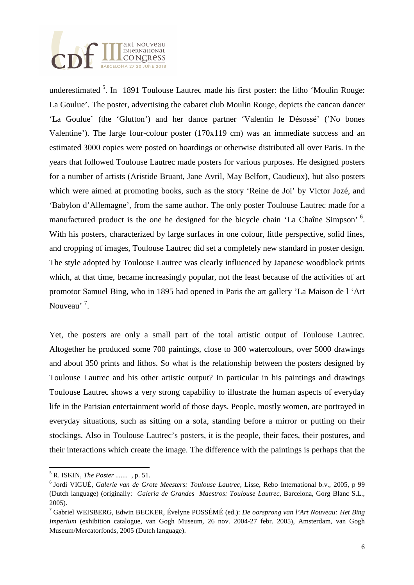

underestimated  $5$ . In 1891 Toulouse Lautrec made his first poster: the litho 'Moulin Rouge: La Goulue'. The poster, advertising the cabaret club Moulin Rouge, depicts the cancan dancer 'La Goulue' (the 'Glutton') and her dance partner 'Valentin le Désossé' ('No bones Valentine'). The large four-colour poster (170x119 cm) was an immediate success and an estimated 3000 copies were posted on hoardings or otherwise distributed all over Paris. In the years that followed Toulouse Lautrec made posters for various purposes. He designed posters for a number of artists (Aristide Bruant, Jane Avril, May Belfort, Caudieux), but also posters which were aimed at promoting books, such as the story 'Reine de Joi' by Victor Jozé, and 'Babylon d'Allemagne', from the same author. The only poster Toulouse Lautrec made for a manufactured product is the one he designed for the bicycle chain 'La Chaîne Simpson'<sup>6</sup>. With his posters, characterized by large surfaces in one colour, little perspective, solid lines, and cropping of images, Toulouse Lautrec did set a completely new standard in poster design. The style adopted by Toulouse Lautrec was clearly influenced by Japanese woodblock prints which, at that time, became increasingly popular, not the least because of the activities of art promotor Samuel Bing, who in 1895 had opened in Paris the art gallery 'La Maison de l 'Art Nouveau<sup>, 7</sup>.

Yet, the posters are only a small part of the total artistic output of Toulouse Lautrec. Altogether he produced some 700 paintings, close to 300 watercolours, over 5000 drawings and about 350 prints and lithos. So what is the relationship between the posters designed by Toulouse Lautrec and his other artistic output? In particular in his paintings and drawings Toulouse Lautrec shows a very strong capability to illustrate the human aspects of everyday life in the Parisian entertainment world of those days. People, mostly women, are portrayed in everyday situations, such as sitting on a sofa, standing before a mirror or putting on their stockings. Also in Toulouse Lautrec's posters, it is the people, their faces, their postures, and their interactions which create the image. The difference with the paintings is perhaps that the

l

<sup>5</sup> R. ISKIN, *The Poster .......* , p. 51.

<sup>6</sup> Jordi VIGUÉ, *Galerie van de Grote Meesters: Toulouse Lautrec*, Lisse, Rebo International b.v., 2005, p 99 (Dutch language) (originally: *Galeria de Grandes Maestros: Toulouse Lautrec*, Barcelona, Gorg Blanc S.L., 2005).

<sup>7</sup> Gabriel WEISBERG, Edwin BECKER, Évelyne POSSÉMÉ (ed.): *De oorsprong van l'Art Nouveau: Het Bing Imperium* (exhibition catalogue, van Gogh Museum, 26 nov. 2004-27 febr. 2005), Amsterdam, van Gogh Museum/Mercatorfonds, 2005 (Dutch language).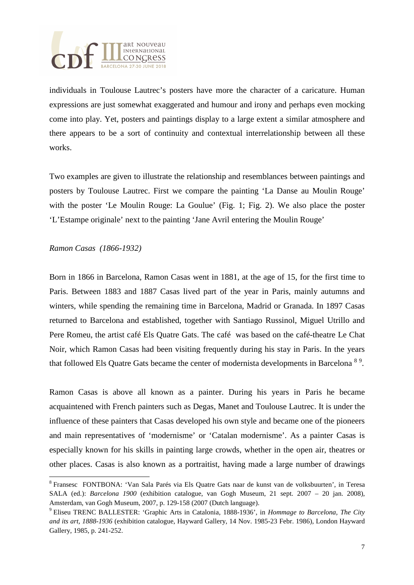

individuals in Toulouse Lautrec's posters have more the character of a caricature. Human expressions are just somewhat exaggerated and humour and irony and perhaps even mocking come into play. Yet, posters and paintings display to a large extent a similar atmosphere and there appears to be a sort of continuity and contextual interrelationship between all these works.

Two examples are given to illustrate the relationship and resemblances between paintings and posters by Toulouse Lautrec. First we compare the painting 'La Danse au Moulin Rouge' with the poster 'Le Moulin Rouge: La Goulue' (Fig. 1; Fig. 2). We also place the poster 'L'Estampe originale' next to the painting 'Jane Avril entering the Moulin Rouge'

### *Ramon Casas (1866-1932)*

l

Born in 1866 in Barcelona, Ramon Casas went in 1881, at the age of 15, for the first time to Paris. Between 1883 and 1887 Casas lived part of the year in Paris, mainly autumns and winters, while spending the remaining time in Barcelona, Madrid or Granada. In 1897 Casas returned to Barcelona and established, together with Santiago Russinol, Miguel Utrillo and Pere Romeu, the artist café Els Quatre Gats. The café was based on the café-theatre Le Chat Noir, which Ramon Casas had been visiting frequently during his stay in Paris. In the years that followed Els Quatre Gats became the center of modernista developments in Barcelona <sup>89</sup>.

Ramon Casas is above all known as a painter. During his years in Paris he became acquaintened with French painters such as Degas, Manet and Toulouse Lautrec. It is under the influence of these painters that Casas developed his own style and became one of the pioneers and main representatives of 'modernisme' or 'Catalan modernisme'. As a painter Casas is especially known for his skills in painting large crowds, whether in the open air, theatres or other places. Casas is also known as a portraitist, having made a large number of drawings

<sup>&</sup>lt;sup>8</sup> Fransesc FONTBONA: 'Van Sala Parés via Els Quatre Gats naar de kunst van de volksbuurten', in Teresa SALA (ed.): *Barcelona 1900* (exhibition catalogue, van Gogh Museum, 21 sept. 2007 – 20 jan. 2008), Amsterdam, van Gogh Museum, 2007, p. 129-158 (2007 (Dutch language).

<sup>9</sup> Eliseu TRENC BALLESTER: 'Graphic Arts in Catalonia, 1888-1936', in *Hommage to Barcelona, The City and its art, 1888-1936* (exhibition catalogue, Hayward Gallery, 14 Nov. 1985-23 Febr. 1986), London Hayward Gallery, 1985, p. 241-252.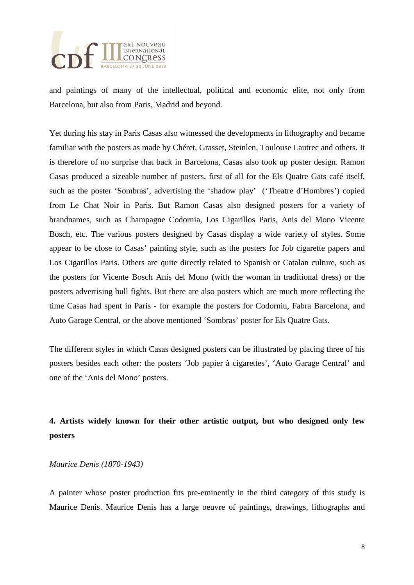

and paintings of many of the intellectual, political and economic elite, not only from Barcelona, but also from Paris, Madrid and beyond.

Yet during his stay in Paris Casas also witnessed the developments in lithography and became familiar with the posters as made by Chéret, Grasset, Steinlen, Toulouse Lautrec and others. It is therefore of no surprise that back in Barcelona, Casas also took up poster design. Ramon Casas produced a sizeable number of posters, first of all for the Els Quatre Gats café itself, such as the poster 'Sombras', advertising the 'shadow play' ('Theatre d'Hombres') copied from Le Chat Noir in Paris. But Ramon Casas also designed posters for a variety of brandnames, such as Champagne Codornia, Los Cigarillos Paris, Anis del Mono Vicente Bosch, etc. The various posters designed by Casas display a wide variety of styles. Some appear to be close to Casas' painting style, such as the posters for Job cigarette papers and Los Cigarillos Paris. Others are quite directly related to Spanish or Catalan culture, such as the posters for Vicente Bosch Anis del Mono (with the woman in traditional dress) or the posters advertising bull fights. But there are also posters which are much more reflecting the time Casas had spent in Paris - for example the posters for Codorniu, Fabra Barcelona, and Auto Garage Central, or the above mentioned 'Sombras' poster for Els Quatre Gats.

The different styles in which Casas designed posters can be illustrated by placing three of his posters besides each other: the posters 'Job papier à cigarettes', 'Auto Garage Central' and one of the 'Anis del Mono' posters.

# **4. Artists widely known for their other artistic output, but who designed only few posters**

#### *Maurice Denis (1870-1943)*

A painter whose poster production fits pre-eminently in the third category of this study is Maurice Denis. Maurice Denis has a large oeuvre of paintings, drawings, lithographs and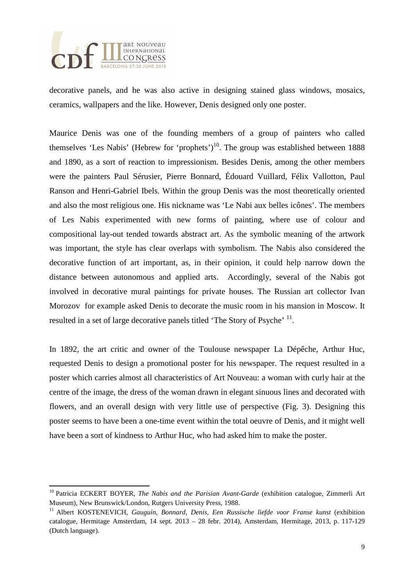

l

decorative panels, and he was also active in designing stained glass windows, mosaics, ceramics, wallpapers and the like. However, Denis designed only one poster.

Maurice Denis was one of the founding members of a group of painters who called themselves 'Les Nabis' (Hebrew for 'prophets')<sup>10</sup>. The group was established between 1888 and 1890, as a sort of reaction to impressionism. Besides Denis, among the other members were the painters Paul Sérusier, Pierre Bonnard, Édouard Vuillard, Félix Vallotton, Paul Ranson and Henri-Gabriel Ibels. Within the group Denis was the most theoretically oriented and also the most religious one. His nickname was 'Le Nabi aux belles icônes'. The members of Les Nabis experimented with new forms of painting, where use of colour and compositional lay-out tended towards abstract art. As the symbolic meaning of the artwork was important, the style has clear overlaps with symbolism. The Nabis also considered the decorative function of art important, as, in their opinion, it could help narrow down the distance between autonomous and applied arts. Accordingly, several of the Nabis got involved in decorative mural paintings for private houses. The Russian art collector Ivan Morozov for example asked Denis to decorate the music room in his mansion in Moscow. It resulted in a set of large decorative panels titled 'The Story of Psyche' <sup>11</sup>.

In 1892, the art critic and owner of the Toulouse newspaper La Dépêche, Arthur Huc, requested Denis to design a promotional poster for his newspaper. The request resulted in a poster which carries almost all characteristics of Art Nouveau: a woman with curly hair at the centre of the image, the dress of the woman drawn in elegant sinuous lines and decorated with flowers, and an overall design with very little use of perspective (Fig. 3). Designing this poster seems to have been a one-time event within the total oeuvre of Denis, and it might well have been a sort of kindness to Arthur Huc, who had asked him to make the poster.

<sup>10</sup> Patricia ECKERT BOYER, *The Nabis and the Parisian Avant-Garde* (exhibition catalogue, Zimmerli Art Museum), New Brunswick/London, Rutgers University Press, 1988.

<sup>&</sup>lt;sup>11</sup> Albert KOSTENEVICH, *Gauguin, Bonnard, Denis, Een Russische liefde voor Franse kunst* (exhibition catalogue, Hermitage Amsterdam, 14 sept. 2013 – 28 febr. 2014), Amsterdam, Hermitage, 2013, p. 117-129 (Dutch language).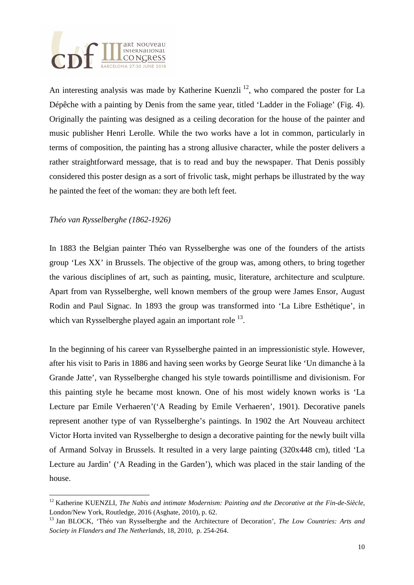

An interesting analysis was made by Katherine Kuenzli<sup>12</sup>, who compared the poster for La Dépêche with a painting by Denis from the same year, titled 'Ladder in the Foliage' (Fig. 4). Originally the painting was designed as a ceiling decoration for the house of the painter and music publisher Henri Lerolle. While the two works have a lot in common, particularly in terms of composition, the painting has a strong allusive character, while the poster delivers a rather straightforward message, that is to read and buy the newspaper. That Denis possibly considered this poster design as a sort of frivolic task, might perhaps be illustrated by the way he painted the feet of the woman: they are both left feet.

### *Théo van Rysselberghe (1862-1926)*

 $\overline{a}$ 

In 1883 the Belgian painter Théo van Rysselberghe was one of the founders of the artists group 'Les XX' in Brussels. The objective of the group was, among others, to bring together the various disciplines of art, such as painting, music, literature, architecture and sculpture. Apart from van Rysselberghe, well known members of the group were James Ensor, August Rodin and Paul Signac. In 1893 the group was transformed into 'La Libre Esthétique', in which van Rysselberghe played again an important role <sup>13</sup>.

In the beginning of his career van Rysselberghe painted in an impressionistic style. However, after his visit to Paris in 1886 and having seen works by George Seurat like 'Un dimanche à la Grande Jatte', van Rysselberghe changed his style towards pointillisme and divisionism. For this painting style he became most known. One of his most widely known works is 'La Lecture par Emile Verhaeren'('A Reading by Emile Verhaeren', 1901). Decorative panels represent another type of van Rysselberghe's paintings. In 1902 the Art Nouveau architect Victor Horta invited van Rysselberghe to design a decorative painting for the newly built villa of Armand Solvay in Brussels. It resulted in a very large painting (320x448 cm), titled 'La Lecture au Jardin' ('A Reading in the Garden'), which was placed in the stair landing of the house.

<sup>12</sup> Katherine KUENZLI, *The Nabis and intimate Modernism: Painting and the Decorative at the Fin-de-Siècle*, London/New York, Routledge, 2016 (Asghate, 2010), p. 62.

<sup>13</sup> Jan BLOCK, 'Théo van Rysselberghe and the Architecture of Decoration'*, The Low Countries: Arts and Society in Flanders and The Netherlands,* 18, 2010, p. 254-264.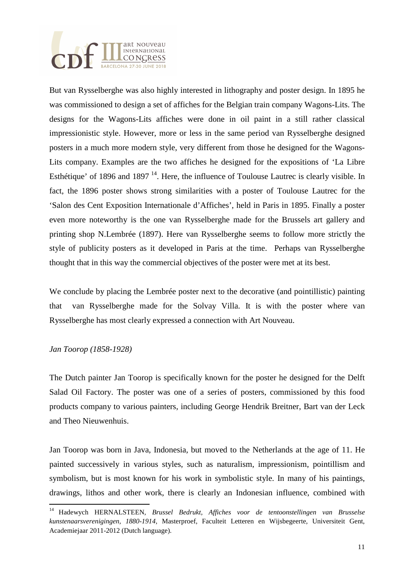

But van Rysselberghe was also highly interested in lithography and poster design. In 1895 he was commissioned to design a set of affiches for the Belgian train company Wagons-Lits. The designs for the Wagons-Lits affiches were done in oil paint in a still rather classical impressionistic style. However, more or less in the same period van Rysselberghe designed posters in a much more modern style, very different from those he designed for the Wagons-Lits company. Examples are the two affiches he designed for the expositions of 'La Libre Esthétique' of 1896 and 1897<sup>14</sup>. Here, the influence of Toulouse Lautrec is clearly visible. In fact, the 1896 poster shows strong similarities with a poster of Toulouse Lautrec for the 'Salon des Cent Exposition Internationale d'Affiches', held in Paris in 1895. Finally a poster even more noteworthy is the one van Rysselberghe made for the Brussels art gallery and printing shop N.Lembrée (1897). Here van Rysselberghe seems to follow more strictly the style of publicity posters as it developed in Paris at the time. Perhaps van Rysselberghe thought that in this way the commercial objectives of the poster were met at its best.

We conclude by placing the Lembrée poster next to the decorative (and pointillistic) painting that van Rysselberghe made for the Solvay Villa. It is with the poster where van Rysselberghe has most clearly expressed a connection with Art Nouveau.

# *Jan Toorop (1858-1928)*

l

The Dutch painter Jan Toorop is specifically known for the poster he designed for the Delft Salad Oil Factory. The poster was one of a series of posters, commissioned by this food products company to various painters, including George Hendrik Breitner, Bart van der Leck and Theo Nieuwenhuis.

Jan Toorop was born in Java, Indonesia, but moved to the Netherlands at the age of 11. He painted successively in various styles, such as naturalism, impressionism, pointillism and symbolism, but is most known for his work in symbolistic style. In many of his paintings, drawings, lithos and other work, there is clearly an Indonesian influence, combined with

<sup>14</sup> Hadewych HERNALSTEEN, *Brussel Bedrukt, Affiches voor de tentoonstellingen van Brusselse kunstenaarsverenigingen, 1880-1914,* Masterproef, Faculteit Letteren en Wijsbegeerte, Universiteit Gent, Academiejaar 2011-2012 (Dutch language).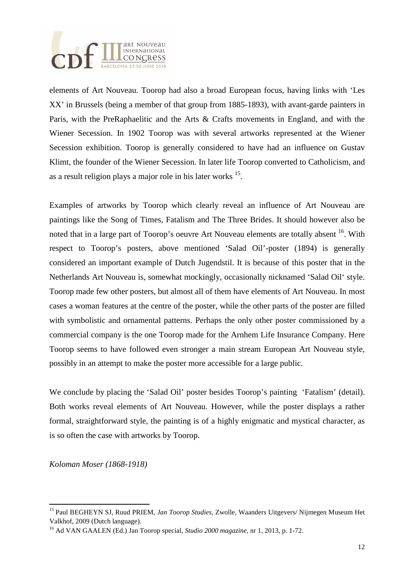

elements of Art Nouveau. Toorop had also a broad European focus, having links with 'Les XX' in Brussels (being a member of that group from 1885-1893), with avant-garde painters in Paris, with the PreRaphaelitic and the Arts & Crafts movements in England, and with the Wiener Secession. In 1902 Toorop was with several artworks represented at the Wiener Secession exhibition. Toorop is generally considered to have had an influence on Gustav Klimt, the founder of the Wiener Secession. In later life Toorop converted to Catholicism, and as a result religion plays a major role in his later works  $15$ .

Examples of artworks by Toorop which clearly reveal an influence of Art Nouveau are paintings like the Song of Times, Fatalism and The Three Brides. It should however also be noted that in a large part of Toorop's oeuvre Art Nouveau elements are totally absent <sup>16</sup>. With respect to Toorop's posters, above mentioned 'Salad Oil'-poster (1894) is generally considered an important example of Dutch Jugendstil. It is because of this poster that in the Netherlands Art Nouveau is, somewhat mockingly, occasionally nicknamed 'Salad Oil' style. Toorop made few other posters, but almost all of them have elements of Art Nouveau. In most cases a woman features at the centre of the poster, while the other parts of the poster are filled with symbolistic and ornamental patterns. Perhaps the only other poster commissioned by a commercial company is the one Toorop made for the Arnhem Life Insurance Company. Here Toorop seems to have followed even stronger a main stream European Art Nouveau style, possibly in an attempt to make the poster more accessible for a large public.

We conclude by placing the 'Salad Oil' poster besides Toorop's painting 'Fatalism' (detail). Both works reveal elements of Art Nouveau. However, while the poster displays a rather formal, straightforward style, the painting is of a highly enigmatic and mystical character, as is so often the case with artworks by Toorop.

*Koloman Moser (1868-1918)* 

l

<sup>15</sup> Paul BEGHEYN SJ, Ruud PRIEM, *Jan Toorop Studies,* Zwolle, Waanders Uitgevers/ Nijmegen Museum Het Valkhof, 2009 (Dutch language).

<sup>16</sup> Ad VAN GAALEN (Ed.) Jan Toorop special, *Studio 2000 magazine,* nr 1, 2013, p. 1-72.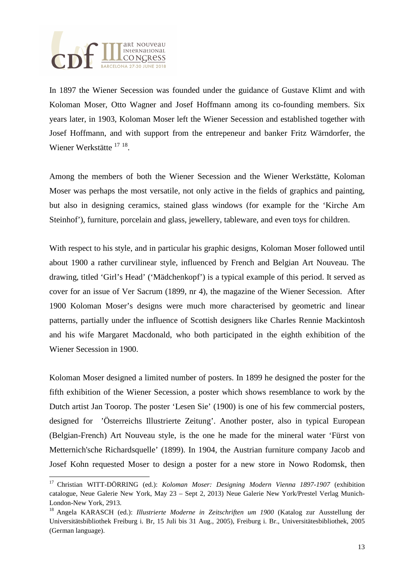

l

In 1897 the Wiener Secession was founded under the guidance of Gustave Klimt and with Koloman Moser, Otto Wagner and Josef Hoffmann among its co-founding members. Six years later, in 1903, Koloman Moser left the Wiener Secession and established together with Josef Hoffmann, and with support from the entrepeneur and banker Fritz Wärndorfer, the Wiener Werkstätte <sup>17 18</sup>.

Among the members of both the Wiener Secession and the Wiener Werkstätte, Koloman Moser was perhaps the most versatile, not only active in the fields of graphics and painting, but also in designing ceramics, stained glass windows (for example for the 'Kirche Am Steinhof'), furniture, porcelain and glass, jewellery, tableware, and even toys for children.

With respect to his style, and in particular his graphic designs, Koloman Moser followed until about 1900 a rather curvilinear style, influenced by French and Belgian Art Nouveau. The drawing, titled 'Girl's Head' ('Mädchenkopf') is a typical example of this period. It served as cover for an issue of Ver Sacrum (1899, nr 4), the magazine of the Wiener Secession. After 1900 Koloman Moser's designs were much more characterised by geometric and linear patterns, partially under the influence of Scottish designers like Charles Rennie Mackintosh and his wife Margaret Macdonald, who both participated in the eighth exhibition of the Wiener Secession in 1900.

Koloman Moser designed a limited number of posters. In 1899 he designed the poster for the fifth exhibition of the Wiener Secession, a poster which shows resemblance to work by the Dutch artist Jan Toorop. The poster 'Lesen Sie' (1900) is one of his few commercial posters, designed for 'Österreichs Illustrierte Zeitung'. Another poster, also in typical European (Belgian-French) Art Nouveau style, is the one he made for the mineral water 'Fürst von Metternich'sche Richardsquelle' (1899). In 1904, the Austrian furniture company Jacob and Josef Kohn requested Moser to design a poster for a new store in Nowo Rodomsk, then

<sup>17</sup> Christian WITT-DÖRRING (ed.): *Koloman Moser: Designing Modern Vienna 1897-1907* (exhibition catalogue, Neue Galerie New York, May 23 – Sept 2, 2013) Neue Galerie New York/Prestel Verlag Munich-London-New York, 2913.

<sup>18</sup> Angela KARASCH (ed.): *Illustrierte Moderne in Zeitschriften um 1900* (Katalog zur Ausstellung der Universitätsbibliothek Freiburg i. Br, 15 Juli bis 31 Aug., 2005), Freiburg i. Br., Universitätesbibliothek, 2005 (German language).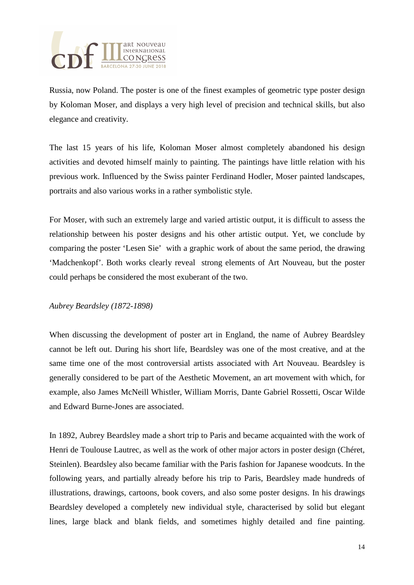

Russia, now Poland. The poster is one of the finest examples of geometric type poster design by Koloman Moser, and displays a very high level of precision and technical skills, but also elegance and creativity.

The last 15 years of his life, Koloman Moser almost completely abandoned his design activities and devoted himself mainly to painting. The paintings have little relation with his previous work. Influenced by the Swiss painter Ferdinand Hodler, Moser painted landscapes, portraits and also various works in a rather symbolistic style.

For Moser, with such an extremely large and varied artistic output, it is difficult to assess the relationship between his poster designs and his other artistic output. Yet, we conclude by comparing the poster 'Lesen Sie' with a graphic work of about the same period, the drawing 'Madchenkopf'. Both works clearly reveal strong elements of Art Nouveau, but the poster could perhaps be considered the most exuberant of the two.

# *Aubrey Beardsley (1872-1898)*

When discussing the development of poster art in England, the name of Aubrey Beardsley cannot be left out. During his short life, Beardsley was one of the most creative, and at the same time one of the most controversial artists associated with Art Nouveau. Beardsley is generally considered to be part of the Aesthetic Movement, an art movement with which, for example, also James McNeill Whistler, William Morris, Dante Gabriel Rossetti, Oscar Wilde and Edward Burne-Jones are associated.

In 1892, Aubrey Beardsley made a short trip to Paris and became acquainted with the work of Henri de Toulouse Lautrec, as well as the work of other major actors in poster design (Chéret, Steinlen). Beardsley also became familiar with the Paris fashion for Japanese woodcuts. In the following years, and partially already before his trip to Paris, Beardsley made hundreds of illustrations, drawings, cartoons, book covers, and also some poster designs. In his drawings Beardsley developed a completely new individual style, characterised by solid but elegant lines, large black and blank fields, and sometimes highly detailed and fine painting.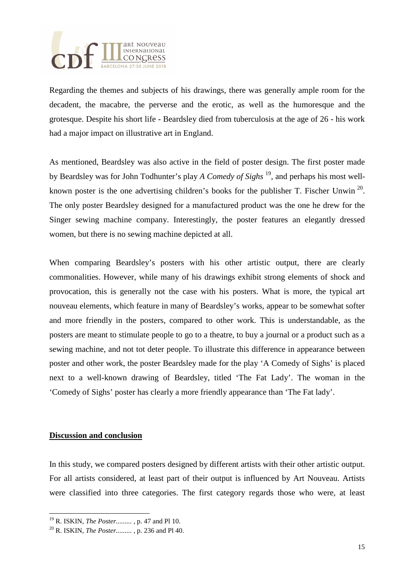

Regarding the themes and subjects of his drawings, there was generally ample room for the decadent, the macabre, the perverse and the erotic, as well as the humoresque and the grotesque. Despite his short life - Beardsley died from tuberculosis at the age of 26 - his work had a major impact on illustrative art in England.

As mentioned, Beardsley was also active in the field of poster design. The first poster made by Beardsley was for John Todhunter's play *A Comedy of Sighs* <sup>19</sup>, and perhaps his most wellknown poster is the one advertising children's books for the publisher T. Fischer Unwin<sup>20</sup>. The only poster Beardsley designed for a manufactured product was the one he drew for the Singer sewing machine company. Interestingly, the poster features an elegantly dressed women, but there is no sewing machine depicted at all.

When comparing Beardsley's posters with his other artistic output, there are clearly commonalities. However, while many of his drawings exhibit strong elements of shock and provocation, this is generally not the case with his posters. What is more, the typical art nouveau elements, which feature in many of Beardsley's works, appear to be somewhat softer and more friendly in the posters, compared to other work. This is understandable, as the posters are meant to stimulate people to go to a theatre, to buy a journal or a product such as a sewing machine, and not tot deter people. To illustrate this difference in appearance between poster and other work, the poster Beardsley made for the play 'A Comedy of Sighs' is placed next to a well-known drawing of Beardsley, titled 'The Fat Lady'. The woman in the 'Comedy of Sighs' poster has clearly a more friendly appearance than 'The Fat lady'.

#### **Discussion and conclusion**

l

In this study, we compared posters designed by different artists with their other artistic output. For all artists considered, at least part of their output is influenced by Art Nouveau. Artists were classified into three categories. The first category regards those who were, at least

<sup>19</sup> R. ISKIN, *The Poster......... ,* p. 47 and Pl 10.

<sup>20</sup> R. ISKIN, *The Poster......... ,* p. 236 and Pl 40.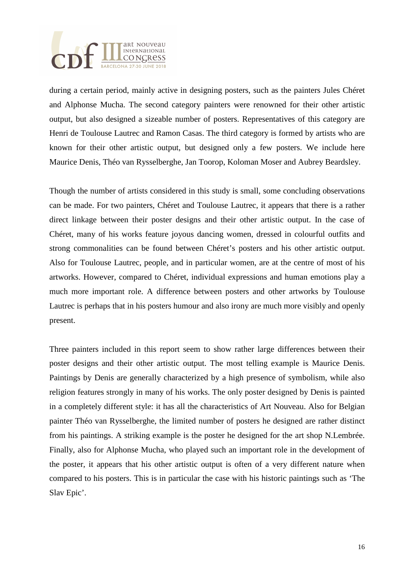

during a certain period, mainly active in designing posters, such as the painters Jules Chéret and Alphonse Mucha. The second category painters were renowned for their other artistic output, but also designed a sizeable number of posters. Representatives of this category are Henri de Toulouse Lautrec and Ramon Casas. The third category is formed by artists who are known for their other artistic output, but designed only a few posters. We include here Maurice Denis, Théo van Rysselberghe, Jan Toorop, Koloman Moser and Aubrey Beardsley.

Though the number of artists considered in this study is small, some concluding observations can be made. For two painters, Chéret and Toulouse Lautrec, it appears that there is a rather direct linkage between their poster designs and their other artistic output. In the case of Chéret, many of his works feature joyous dancing women, dressed in colourful outfits and strong commonalities can be found between Chéret's posters and his other artistic output. Also for Toulouse Lautrec, people, and in particular women, are at the centre of most of his artworks. However, compared to Chéret, individual expressions and human emotions play a much more important role. A difference between posters and other artworks by Toulouse Lautrec is perhaps that in his posters humour and also irony are much more visibly and openly present.

Three painters included in this report seem to show rather large differences between their poster designs and their other artistic output. The most telling example is Maurice Denis. Paintings by Denis are generally characterized by a high presence of symbolism, while also religion features strongly in many of his works. The only poster designed by Denis is painted in a completely different style: it has all the characteristics of Art Nouveau. Also for Belgian painter Théo van Rysselberghe, the limited number of posters he designed are rather distinct from his paintings. A striking example is the poster he designed for the art shop N.Lembrée. Finally, also for Alphonse Mucha, who played such an important role in the development of the poster, it appears that his other artistic output is often of a very different nature when compared to his posters. This is in particular the case with his historic paintings such as 'The Slav Epic'.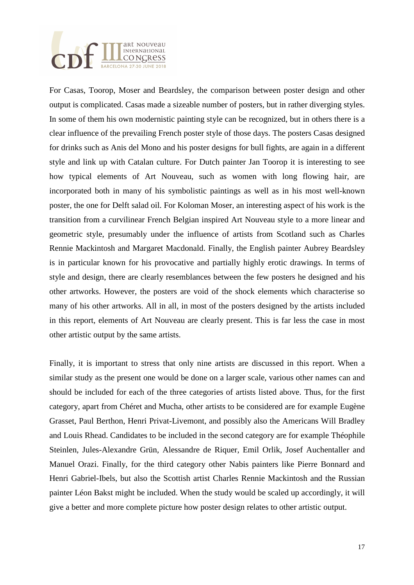

For Casas, Toorop, Moser and Beardsley, the comparison between poster design and other output is complicated. Casas made a sizeable number of posters, but in rather diverging styles. In some of them his own modernistic painting style can be recognized, but in others there is a clear influence of the prevailing French poster style of those days. The posters Casas designed for drinks such as Anis del Mono and his poster designs for bull fights, are again in a different style and link up with Catalan culture. For Dutch painter Jan Toorop it is interesting to see how typical elements of Art Nouveau, such as women with long flowing hair, are incorporated both in many of his symbolistic paintings as well as in his most well-known poster, the one for Delft salad oil. For Koloman Moser, an interesting aspect of his work is the transition from a curvilinear French Belgian inspired Art Nouveau style to a more linear and geometric style, presumably under the influence of artists from Scotland such as Charles Rennie Mackintosh and Margaret Macdonald. Finally, the English painter Aubrey Beardsley is in particular known for his provocative and partially highly erotic drawings. In terms of style and design, there are clearly resemblances between the few posters he designed and his other artworks. However, the posters are void of the shock elements which characterise so many of his other artworks. All in all, in most of the posters designed by the artists included in this report, elements of Art Nouveau are clearly present. This is far less the case in most other artistic output by the same artists.

Finally, it is important to stress that only nine artists are discussed in this report. When a similar study as the present one would be done on a larger scale, various other names can and should be included for each of the three categories of artists listed above. Thus, for the first category, apart from Chéret and Mucha, other artists to be considered are for example Eugène Grasset, Paul Berthon, Henri Privat-Livemont, and possibly also the Americans Will Bradley and Louis Rhead. Candidates to be included in the second category are for example Théophile Steinlen, Jules-Alexandre Grün, Alessandre de Riquer, Emil Orlik, Josef Auchentaller and Manuel Orazi. Finally, for the third category other Nabis painters like Pierre Bonnard and Henri Gabriel-Ibels, but also the Scottish artist Charles Rennie Mackintosh and the Russian painter Léon Bakst might be included. When the study would be scaled up accordingly, it will give a better and more complete picture how poster design relates to other artistic output.